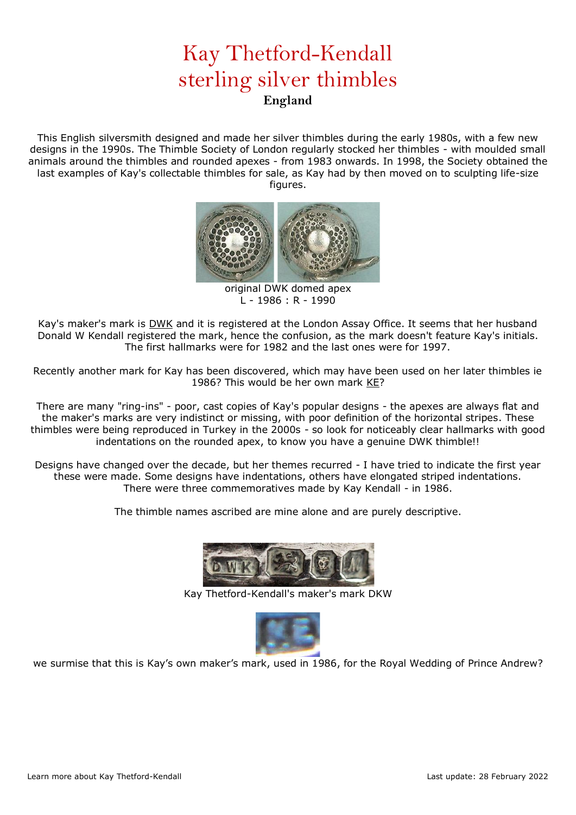## Kay Thetford-Kendall sterling silver thimbles **England**

This English silversmith designed and made her silver thimbles during the early 1980s, with a few new designs in the 1990s. The Thimble Society of London regularly stocked her thimbles - with moulded small animals around the thimbles and rounded apexes - from 1983 onwards. In 1998, the Society obtained the last examples of Kay's collectable thimbles for sale, as Kay had by then moved on to sculpting life-size figures.



original DWK domed apex L - 1986 : R - 1990

Kay's maker's mark is DWK and it is registered at the London Assay Office. It seems that her husband Donald W Kendall registered the mark, hence the confusion, as the mark doesn't feature Kay's initials. The first hallmarks were for 1982 and the last ones were for 1997.

Recently another mark for Kay has been discovered, which may have been used on her later thimbles ie 1986? This would be her own mark KE?

There are many "ring-ins" - poor, cast copies of Kay's popular designs - the apexes are always flat and the maker's marks are very indistinct or missing, with poor definition of the horizontal stripes. These thimbles were being reproduced in Turkey in the 2000s - so look for noticeably clear hallmarks with good indentations on the rounded apex, to know you have a genuine DWK thimble!!

Designs have changed over the decade, but her themes recurred - I have tried to indicate the first year these were made. Some designs have indentations, others have elongated striped indentations. There were three commemoratives made by Kay Kendall - in 1986.

The thimble names ascribed are mine alone and are purely descriptive.



Kay Thetford-Kendall's maker's mark DKW



we surmise that this is Kay's own maker's mark, used in 1986, for the Royal Wedding of Prince Andrew?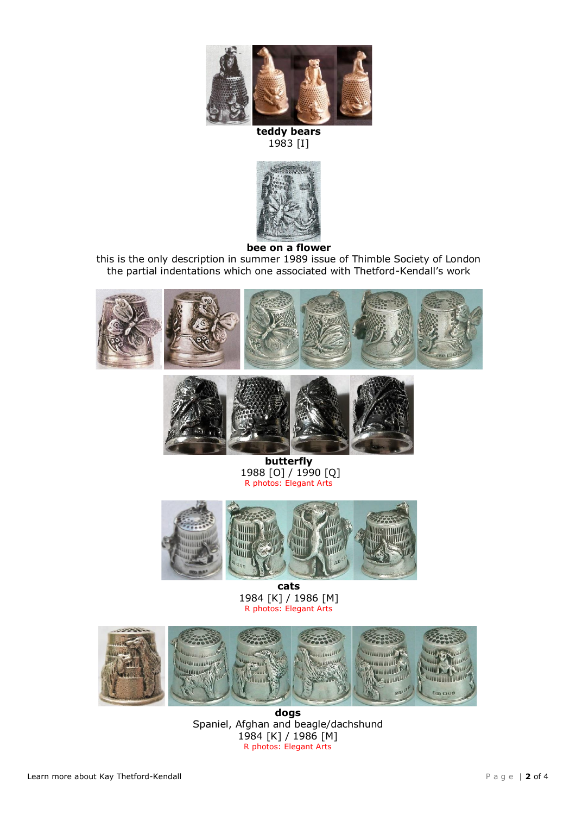

**teddy bears** 1983 [I]



**bee on a flower**

this is the only description in summer 1989 issue of Thimble Society of London the partial indentations which one associated with Thetford-Kendall's work





**butterfly** 1988 [O] / 1990 [Q] R photos: Elegant Arts



**cats** 1984 [K] / 1986 [M] R photos: Elegant Arts



**dogs**  Spaniel, Afghan and beagle/dachshund 1984 [K] / 1986 [M] R photos: Elegant Arts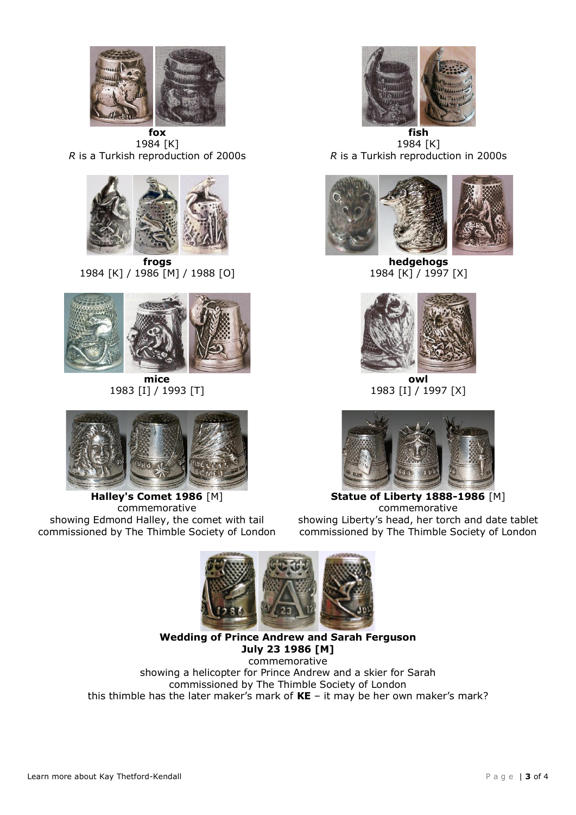

1984 [K] *R* is a Turkish reproduction of 2000s



1984 [K] / 1986 [M] / 1988 [O]



**mice** 1983 [I] / 1993 [T]



**Halley's Comet 1986** [M] commemorative showing Edmond Halley, the comet with tail commissioned by The Thimble Society of London



**fish** 1984 [K] *R* is a Turkish reproduction in 2000s



**hedgehogs** 1984 [K] / 1997 [X]



**owl** 1983 [I] / 1997 [X]



**Statue of Liberty 1888-1986** [M] commemorative showing Liberty's head, her torch and date tablet commissioned by The Thimble Society of London



**Wedding of Prince Andrew and Sarah Ferguson July 23 1986 [M]**

commemorative showing a helicopter for Prince Andrew and a skier for Sarah commissioned by The Thimble Society of London this thimble has the later maker's mark of **KE** – it may be her own maker's mark?